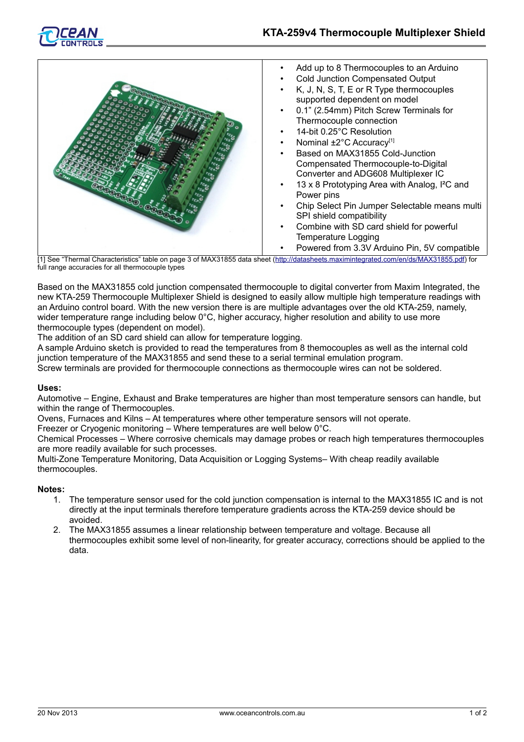



- Add up to 8 Thermocouples to an Arduino
- Cold Junction Compensated Output
- K, J, N, S, T, E or R Type thermocouples supported dependent on model
- 0.1" (2.54mm) Pitch Screw Terminals for Thermocouple connection
- 14-bit 0.25°C Resolution
- Nominal ±2°C Accuracy<sup>[1]</sup>
- Based on MAX31855 Cold-Junction Compensated Thermocouple-to-Digital Converter and ADG608 Multiplexer IC
- 13 x 8 Prototyping Area with Analog, I²C and Power pins
- Chip Select Pin Jumper Selectable means multi SPI shield compatibility
- Combine with SD card shield for powerful Temperature Logging
	- Powered from 3.3V Arduino Pin, 5V compatible

[1] See "Thermal Characteristics" table on page 3 of MAX31855 data sheet [\(http://datasheets.maximintegrated.com/en/ds/MAX31855.pdf\)](http://datasheets.maximintegrated.com/en/ds/MAX31855.pdf) for full range accuracies for all thermocouple types

Based on the MAX31855 cold junction compensated thermocouple to digital converter from Maxim Integrated, the new KTA-259 Thermocouple Multiplexer Shield is designed to easily allow multiple high temperature readings with an Arduino control board. With the new version there is are multiple advantages over the old KTA-259, namely, wider temperature range including below 0°C, higher accuracy, higher resolution and ability to use more thermocouple types (dependent on model).

The addition of an SD card shield can allow for temperature logging.

A sample Arduino sketch is provided to read the temperatures from 8 themocouples as well as the internal cold junction temperature of the MAX31855 and send these to a serial terminal emulation program.

Screw terminals are provided for thermocouple connections as thermocouple wires can not be soldered.

### **Uses:**

Automotive – Engine, Exhaust and Brake temperatures are higher than most temperature sensors can handle, but within the range of Thermocouples.

Ovens, Furnaces and Kilns – At temperatures where other temperature sensors will not operate.

Freezer or Cryogenic monitoring – Where temperatures are well below 0°C.

Chemical Processes – Where corrosive chemicals may damage probes or reach high temperatures thermocouples are more readily available for such processes.

Multi-Zone Temperature Monitoring, Data Acquisition or Logging Systems– With cheap readily available thermocouples.

### **Notes:**

- 1. The temperature sensor used for the cold junction compensation is internal to the MAX31855 IC and is not directly at the input terminals therefore temperature gradients across the KTA-259 device should be avoided.
- 2. The MAX31855 assumes a linear relationship between temperature and voltage. Because all thermocouples exhibit some level of non-linearity, for greater accuracy, corrections should be applied to the data.